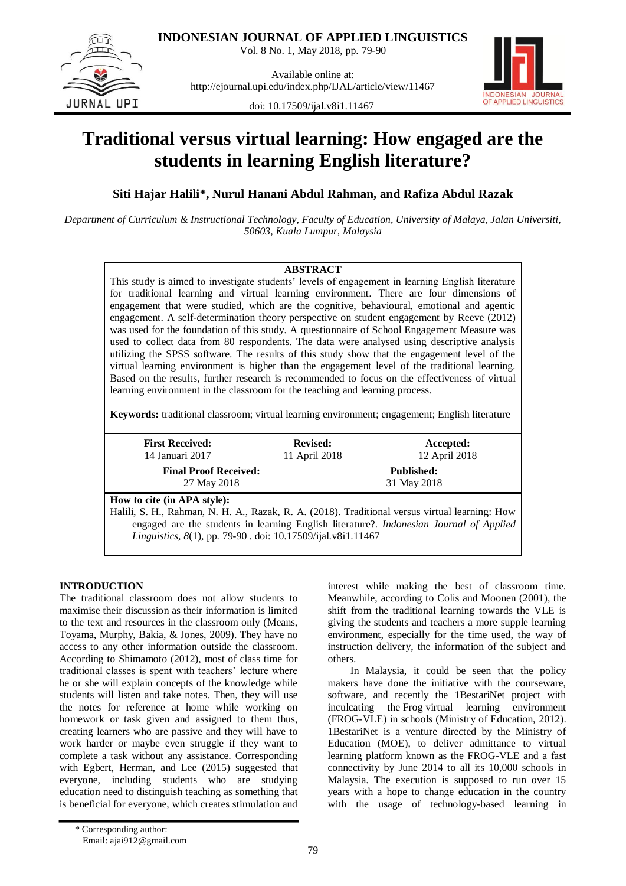

**INDONESIAN JOURNAL OF APPLIED LINGUISTICS**

Vol. 8 No. 1, May 2018, pp. 79-90

Available online at: http://ejournal.upi.edu/index.php/IJAL/article/view/11467



doi: 10.17509/ijal.v8i1.11467

# **Traditional versus virtual learning: How engaged are the students in learning English literature?**

**Siti Hajar Halili\*, Nurul Hanani Abdul Rahman, and Rafiza Abdul Razak**

*Department of Curriculum & Instructional Technology, Faculty of Education, University of Malaya, Jalan Universiti, 50603, Kuala Lumpur, Malaysia*

# **ABSTRACT**

This study is aimed to investigate students' levels of engagement in learning English literature for traditional learning and virtual learning environment. There are four dimensions of engagement that were studied, which are the cognitive, behavioural, emotional and agentic engagement. A self-determination theory perspective on student engagement by Reeve (2012) was used for the foundation of this study. A questionnaire of School Engagement Measure was used to collect data from 80 respondents. The data were analysed using descriptive analysis utilizing the SPSS software. The results of this study show that the engagement level of the virtual learning environment is higher than the engagement level of the traditional learning. Based on the results, further research is recommended to focus on the effectiveness of virtual learning environment in the classroom for the teaching and learning process.

**Keywords:** traditional classroom; virtual learning environment; engagement; English literature

| <b>First Received:</b>                                                                         | <b>Revised:</b> | Accepted:                                                                               |
|------------------------------------------------------------------------------------------------|-----------------|-----------------------------------------------------------------------------------------|
| 14 Januari 2017                                                                                | 11 April 2018   | 12 April 2018                                                                           |
| <b>Final Proof Received:</b>                                                                   |                 | <b>Published:</b>                                                                       |
| 27 May 2018                                                                                    |                 | 31 May 2018                                                                             |
| How to cite (in APA style):                                                                    |                 |                                                                                         |
| Halili, S. H., Rahman, N. H. A., Razak, R. A. (2018). Traditional versus virtual learning: How |                 |                                                                                         |
|                                                                                                |                 | engaged are the students in learning English literature?. Indonesian Journal of Applied |
| Linguistics, 8(1), pp. 79-90 . doi: 10.17509/ijal.v8i1.11467                                   |                 |                                                                                         |

# **INTRODUCTION**

The traditional classroom does not allow students to maximise their discussion as their information is limited to the text and resources in the classroom only (Means, Toyama, Murphy, Bakia, & Jones, 2009). They have no access to any other information outside the classroom. According to Shimamoto (2012), most of class time for traditional classes is spent with teachers' lecture where he or she will explain concepts of the knowledge while students will listen and take notes. Then, they will use the notes for reference at home while working on homework or task given and assigned to them thus, creating learners who are passive and they will have to work harder or maybe even struggle if they want to complete a task without any assistance. Corresponding with Egbert, Herman, and Lee (2015) suggested that everyone, including students who are studying education need to distinguish teaching as something that is beneficial for everyone, which creates stimulation and interest while making the best of classroom time. Meanwhile, according to Colis and Moonen (2001), the shift from the traditional learning towards the VLE is giving the students and teachers a more supple learning environment, especially for the time used, the way of instruction delivery, the information of the subject and others.

In Malaysia, it could be seen that the policy makers have done the initiative with the courseware, software, and recently the 1BestariNet project with inculcating the Frog virtual learning environment (FROG-VLE) in schools (Ministry of Education, 2012). 1BestariNet is a venture directed by the Ministry of Education (MOE), to deliver admittance to virtual learning platform known as the FROG-VLE and a fast connectivity by June 2014 to all its 10,000 schools in Malaysia. The execution is supposed to run over 15 years with a hope to change education in the country with the usage of technology-based learning in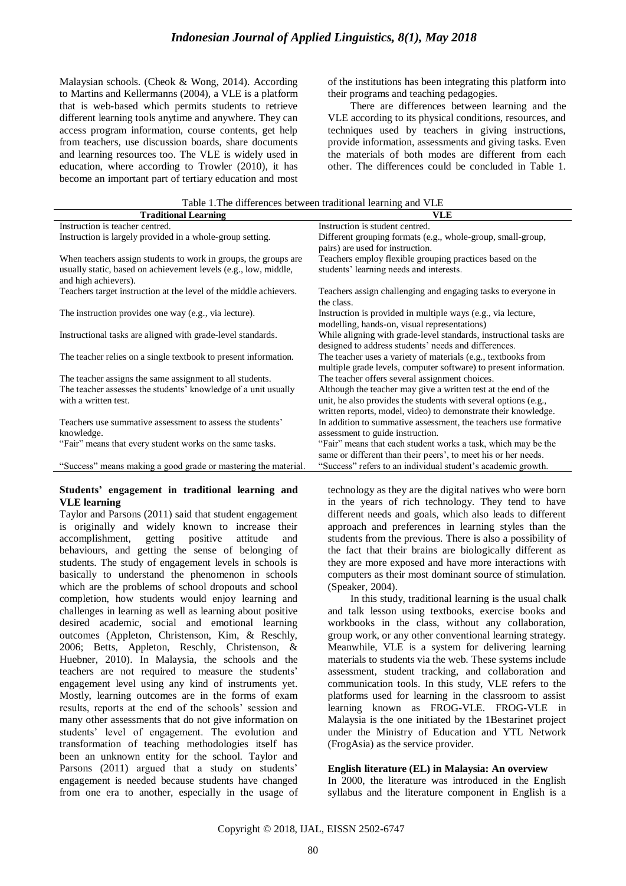Malaysian schools. (Cheok & Wong, 2014). According to Martins and Kellermanns (2004), a VLE is a platform that is web-based which permits students to retrieve different learning tools anytime and anywhere. They can access program information, course contents, get help from teachers, use discussion boards, share documents and learning resources too. The VLE is widely used in education, where according to Trowler (2010), it has become an important part of tertiary education and most of the institutions has been integrating this platform into their programs and teaching pedagogies.

There are differences between learning and the VLE according to its physical conditions, resources, and techniques used by teachers in giving instructions, provide information, assessments and giving tasks. Even the materials of both modes are different from each other. The differences could be concluded in Table 1.

| Table 1.1 he differences between traditional learning and VLE                           |                                                                                                                                                                                                     |  |  |
|-----------------------------------------------------------------------------------------|-----------------------------------------------------------------------------------------------------------------------------------------------------------------------------------------------------|--|--|
| <b>Traditional Learning</b>                                                             | <b>VLE</b>                                                                                                                                                                                          |  |  |
| Instruction is teacher centred.                                                         | Instruction is student centred.                                                                                                                                                                     |  |  |
| Instruction is largely provided in a whole-group setting.                               | Different grouping formats (e.g., whole-group, small-group,<br>pairs) are used for instruction.                                                                                                     |  |  |
| When teachers assign students to work in groups, the groups are                         | Teachers employ flexible grouping practices based on the                                                                                                                                            |  |  |
| usually static, based on achievement levels (e.g., low, middle,<br>and high achievers). | students' learning needs and interests.                                                                                                                                                             |  |  |
| Teachers target instruction at the level of the middle achievers.                       | Teachers assign challenging and engaging tasks to everyone in<br>the class.                                                                                                                         |  |  |
| The instruction provides one way (e.g., via lecture).                                   | Instruction is provided in multiple ways (e.g., via lecture,<br>modelling, hands-on, visual representations)                                                                                        |  |  |
| Instructional tasks are aligned with grade-level standards.                             | While aligning with grade-level standards, instructional tasks are<br>designed to address students' needs and differences.                                                                          |  |  |
| The teacher relies on a single textbook to present information.                         | The teacher uses a variety of materials (e.g., textbooks from<br>multiple grade levels, computer software) to present information.                                                                  |  |  |
| The teacher assigns the same assignment to all students.                                | The teacher offers several assignment choices.                                                                                                                                                      |  |  |
| The teacher assesses the students' knowledge of a unit usually<br>with a written test.  | Although the teacher may give a written test at the end of the<br>unit, he also provides the students with several options (e.g.,<br>written reports, model, video) to demonstrate their knowledge. |  |  |
| Teachers use summative assessment to assess the students'                               | In addition to summative assessment, the teachers use formative                                                                                                                                     |  |  |
| knowledge.                                                                              | assessment to guide instruction.                                                                                                                                                                    |  |  |
| "Fair" means that every student works on the same tasks.                                | "Fair" means that each student works a task, which may be the<br>same or different than their peers', to meet his or her needs.                                                                     |  |  |
| "Success" means making a good grade or mastering the material.                          | "Success" refers to an individual student's academic growth.                                                                                                                                        |  |  |

# Table 1.The differences between traditional learning and VLE

#### **Students' engagement in traditional learning and VLE learning**

Taylor and Parsons (2011) said that student engagement is originally and widely known to increase their<br>accomplishment, getting positive attitude and accomplishment, getting positive attitude behaviours, and getting the sense of belonging of students. The study of engagement levels in schools is basically to understand the phenomenon in schools which are the problems of school dropouts and school completion, how students would enjoy learning and challenges in learning as well as learning about positive desired academic, social and emotional learning outcomes (Appleton, Christenson, Kim, & Reschly, 2006; Betts, Appleton, Reschly, Christenson, & Huebner, 2010). In Malaysia, the schools and the teachers are not required to measure the students" engagement level using any kind of instruments yet. Mostly, learning outcomes are in the forms of exam results, reports at the end of the schools" session and many other assessments that do not give information on students" level of engagement. The evolution and transformation of teaching methodologies itself has been an unknown entity for the school. Taylor and Parsons (2011) argued that a study on students' engagement is needed because students have changed from one era to another, especially in the usage of technology as they are the digital natives who were born in the years of rich technology. They tend to have different needs and goals, which also leads to different approach and preferences in learning styles than the students from the previous. There is also a possibility of the fact that their brains are biologically different as they are more exposed and have more interactions with computers as their most dominant source of stimulation. (Speaker, 2004).

In this study, traditional learning is the usual chalk and talk lesson using textbooks, exercise books and workbooks in the class, without any collaboration, group work, or any other conventional learning strategy. Meanwhile, VLE is a system for delivering learning materials to students via the web. These systems include assessment, student tracking, and collaboration and communication tools. In this study, VLE refers to the platforms used for learning in the classroom to assist learning known as FROG-VLE. FROG-VLE in Malaysia is the one initiated by the 1Bestarinet project under the Ministry of Education and YTL Network (FrogAsia) as the service provider.

#### **English literature (EL) in Malaysia: An overview**

In 2000, the literature was introduced in the English syllabus and the literature component in English is a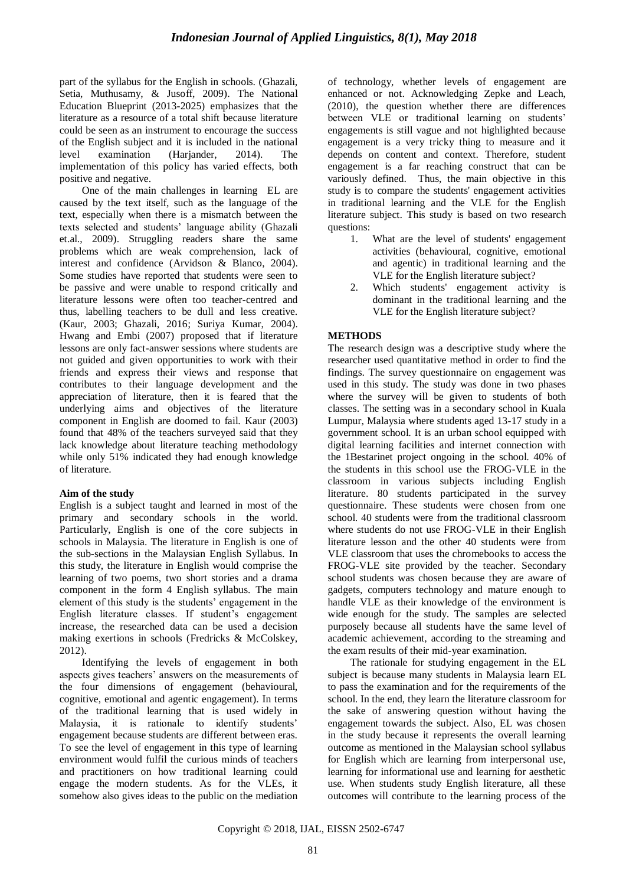part of the syllabus for the English in schools. (Ghazali, Setia, Muthusamy, & Jusoff, 2009). The National Education Blueprint (2013-2025) emphasizes that the literature as a resource of a total shift because literature could be seen as an instrument to encourage the success of the English subject and it is included in the national level examination (Harjander, 2014). The implementation of this policy has varied effects, both positive and negative.

One of the main challenges in learning EL are caused by the text itself, such as the language of the text, especially when there is a mismatch between the texts selected and students" language ability (Ghazali et.al., 2009). Struggling readers share the same problems which are weak comprehension, lack of interest and confidence (Arvidson & Blanco, 2004). Some studies have reported that students were seen to be passive and were unable to respond critically and literature lessons were often too teacher-centred and thus, labelling teachers to be dull and less creative. (Kaur, 2003; Ghazali, 2016; Suriya Kumar, 2004). Hwang and Embi (2007) proposed that if literature lessons are only fact-answer sessions where students are not guided and given opportunities to work with their friends and express their views and response that contributes to their language development and the appreciation of literature, then it is feared that the underlying aims and objectives of the literature component in English are doomed to fail. Kaur (2003) found that 48% of the teachers surveyed said that they lack knowledge about literature teaching methodology while only 51% indicated they had enough knowledge of literature.

# **Aim of the study**

English is a subject taught and learned in most of the primary and secondary schools in the world. Particularly, English is one of the core subjects in schools in Malaysia. The literature in English is one of the sub-sections in the Malaysian English Syllabus. In this study, the literature in English would comprise the learning of two poems, two short stories and a drama component in the form 4 English syllabus. The main element of this study is the students" engagement in the English literature classes. If student's engagement increase, the researched data can be used a decision making exertions in schools (Fredricks & McColskey, 2012).

Identifying the levels of engagement in both aspects gives teachers' answers on the measurements of the four dimensions of engagement (behavioural, cognitive, emotional and agentic engagement). In terms of the traditional learning that is used widely in Malaysia, it is rationale to identify students' engagement because students are different between eras. To see the level of engagement in this type of learning environment would fulfil the curious minds of teachers and practitioners on how traditional learning could engage the modern students. As for the VLEs, it somehow also gives ideas to the public on the mediation of technology, whether levels of engagement are enhanced or not. Acknowledging Zepke and Leach, (2010), the question whether there are differences between VLE or traditional learning on students' engagements is still vague and not highlighted because engagement is a very tricky thing to measure and it depends on content and context. Therefore, student engagement is a far reaching construct that can be variously defined. Thus, the main objective in this study is to compare the students' engagement activities in traditional learning and the VLE for the English literature subject. This study is based on two research questions:

- 1. What are the level of students' engagement activities (behavioural, cognitive, emotional and agentic) in traditional learning and the VLE for the English literature subject?
- 2. Which students' engagement activity is dominant in the traditional learning and the VLE for the English literature subject?

# **METHODS**

The research design was a descriptive study where the researcher used quantitative method in order to find the findings. The survey questionnaire on engagement was used in this study. The study was done in two phases where the survey will be given to students of both classes. The setting was in a secondary school in Kuala Lumpur, Malaysia where students aged 13-17 study in a government school. It is an urban school equipped with digital learning facilities and internet connection with the 1Bestarinet project ongoing in the school. 40% of the students in this school use the FROG-VLE in the classroom in various subjects including English literature. 80 students participated in the survey questionnaire. These students were chosen from one school. 40 students were from the traditional classroom where students do not use FROG-VLE in their English literature lesson and the other 40 students were from VLE classroom that uses the chromebooks to access the FROG-VLE site provided by the teacher. Secondary school students was chosen because they are aware of gadgets, computers technology and mature enough to handle VLE as their knowledge of the environment is wide enough for the study. The samples are selected purposely because all students have the same level of academic achievement, according to the streaming and the exam results of their mid-year examination.

The rationale for studying engagement in the EL subject is because many students in Malaysia learn EL to pass the examination and for the requirements of the school. In the end, they learn the literature classroom for the sake of answering question without having the engagement towards the subject. Also, EL was chosen in the study because it represents the overall learning outcome as mentioned in the Malaysian school syllabus for English which are learning from interpersonal use, learning for informational use and learning for aesthetic use. When students study English literature, all these outcomes will contribute to the learning process of the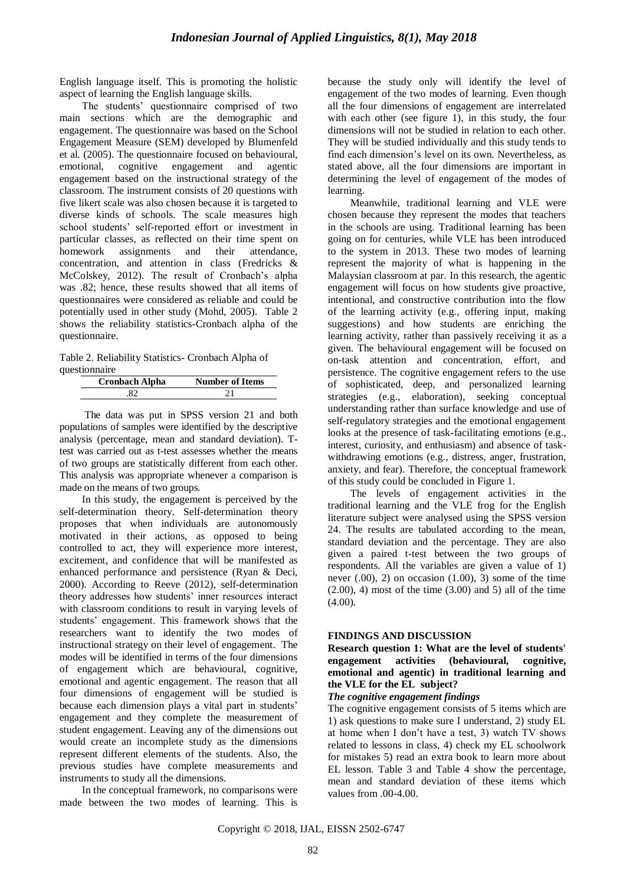English language itself. This is promoting the holistic aspect of learning the English language skills.

The students" questionnaire comprised of two main sections which are the demographic and engagement. The questionnaire was based on the School Engagement Measure (SEM) developed by Blumenfeld et al. (2005). The questionnaire focused on behavioural, emotional, cognitive engagement and agentic engagement based on the instructional strategy of the classroom. The instrument consists of 20 questions with five likert scale was also chosen because it is targeted to diverse kinds of schools. The scale measures high school students" self-reported effort or investment in particular classes, as reflected on their time spent on homework assignments and their attendance, concentration, and attention in class (Fredricks & McColskey, 2012). The result of Cronbach's alpha was .82; hence, these results showed that all items of questionnaires were considered as reliable and could be potentially used in other study (Mohd, 2005). Table 2 shows the reliability statistics-Cronbach alpha of the questionnaire.

Table 2. Reliability Statistics- Cronbach Alpha of questionnaire

| <b>Cronbach Alpha</b> | <b>Number of Items</b> |
|-----------------------|------------------------|
|                       |                        |

The data was put in SPSS version 21 and both populations of samples were identified by the descriptive analysis (percentage, mean and standard deviation). Ttest was carried out as t-test assesses whether the means of two groups are statistically different from each other. This analysis was appropriate whenever a comparison is made on the means of two groups.

In this study, the engagement is perceived by the self-determination theory. Self-determination theory proposes that when individuals are autonomously motivated in their actions, as opposed to being controlled to act, they will experience more interest, excitement, and confidence that will be manifested as enhanced performance and persistence (Ryan & Deci, 2000). According to Reeve (2012), self-determination theory addresses how students" inner resources interact with classroom conditions to result in varying levels of students" engagement. This framework shows that the researchers want to identify the two modes of instructional strategy on their level of engagement. The modes will be identified in terms of the four dimensions of engagement which are behavioural, cognitive, emotional and agentic engagement. The reason that all four dimensions of engagement will be studied is because each dimension plays a vital part in students' engagement and they complete the measurement of student engagement. Leaving any of the dimensions out would create an incomplete study as the dimensions represent different elements of the students. Also, the previous studies have complete measurements and instruments to study all the dimensions.

In the conceptual framework, no comparisons were made between the two modes of learning. This is because the study only will identify the level of engagement of the two modes of learning. Even though all the four dimensions of engagement are interrelated with each other (see figure 1), in this study, the four dimensions will not be studied in relation to each other. They will be studied individually and this study tends to find each dimension"s level on its own. Nevertheless, as stated above, all the four dimensions are important in determining the level of engagement of the modes of learning.

Meanwhile, traditional learning and VLE were chosen because they represent the modes that teachers in the schools are using. Traditional learning has been going on for centuries, while VLE has been introduced to the system in 2013. These two modes of learning represent the majority of what is happening in the Malaysian classroom at par. In this research, the agentic engagement will focus on how students give proactive, intentional, and constructive contribution into the flow of the learning activity (e.g., offering input, making suggestions) and how students are enriching the learning activity, rather than passively receiving it as a given. The behavioural engagement will be focused on on-task attention and concentration, effort, and persistence. The cognitive engagement refers to the use of sophisticated, deep, and personalized learning strategies (e.g., elaboration), seeking conceptual understanding rather than surface knowledge and use of self-regulatory strategies and the emotional engagement looks at the presence of task-facilitating emotions (e.g., interest, curiosity, and enthusiasm) and absence of taskwithdrawing emotions (e.g., distress, anger, frustration, anxiety, and fear). Therefore, the conceptual framework of this study could be concluded in Figure 1.

The levels of engagement activities in the traditional learning and the VLE frog for the English literature subject were analysed using the SPSS version 24. The results are tabulated according to the mean, standard deviation and the percentage. They are also given a paired t-test between the two groups of respondents. All the variables are given a value of 1) never  $(.00)$ , 2) on occasion  $(1.00)$ , 3) some of the time  $(2.00)$ , 4) most of the time  $(3.00)$  and 5) all of the time (4.00).

# **FINDINGS AND DISCUSSION**

**Research question 1: What are the level of students' engagement activities (behavioural, cognitive, emotional and agentic) in traditional learning and the VLE for the EL subject?**

# *The cognitive engagement findings*

The cognitive engagement consists of 5 items which are 1) ask questions to make sure I understand, 2) study EL at home when I don"t have a test, 3) watch TV shows related to lessons in class, 4) check my EL schoolwork for mistakes 5) read an extra book to learn more about EL lesson. Table 3 and Table 4 show the percentage, mean and standard deviation of these items which values from .00-4.00.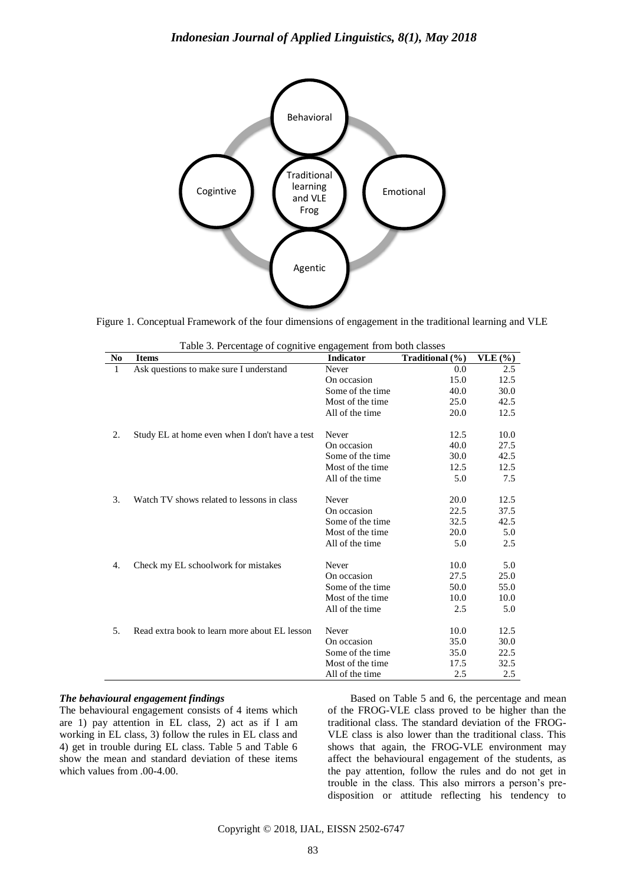

Figure 1. Conceptual Framework of the four dimensions of engagement in the traditional learning and VLE

|                | Table 5. Percentage of cognitive engagement from both classes |                  |                 |         |
|----------------|---------------------------------------------------------------|------------------|-----------------|---------|
| N <sub>0</sub> | <b>Items</b>                                                  | <b>Indicator</b> | Traditional (%) | VLE( %) |
| 1              | Ask questions to make sure I understand                       | Never            | 0.0             | 2.5     |
|                |                                                               | On occasion      | 15.0            | 12.5    |
|                |                                                               | Some of the time | 40.0            | 30.0    |
|                |                                                               | Most of the time | 25.0            | 42.5    |
|                |                                                               | All of the time  | 20.0            | 12.5    |
| 2.             | Study EL at home even when I don't have a test                | Never            | 12.5            | 10.0    |
|                |                                                               | On occasion      | 40.0            | 27.5    |
|                |                                                               | Some of the time | 30.0            | 42.5    |
|                |                                                               | Most of the time | 12.5            | 12.5    |
|                |                                                               | All of the time  | 5.0             | 7.5     |
| 3.             | Watch TV shows related to lessons in class                    | Never            | 20.0            | 12.5    |
|                |                                                               | On occasion      | 22.5            | 37.5    |
|                |                                                               | Some of the time | 32.5            | 42.5    |
|                |                                                               | Most of the time | 20.0            | 5.0     |
|                |                                                               | All of the time  | 5.0             | 2.5     |
| 4.             | Check my EL schoolwork for mistakes                           | Never            | 10.0            | 5.0     |
|                |                                                               | On occasion      | 27.5            | 25.0    |
|                |                                                               | Some of the time | 50.0            | 55.0    |
|                |                                                               | Most of the time | 10.0            | 10.0    |
|                |                                                               | All of the time  | 2.5             | 5.0     |
| 5.             | Read extra book to learn more about EL lesson                 | Never            | 10.0            | 12.5    |
|                |                                                               | On occasion      | 35.0            | 30.0    |
|                |                                                               | Some of the time | 35.0            | 22.5    |
|                |                                                               |                  |                 |         |
|                |                                                               | Most of the time | 17.5            | 32.5    |
|                |                                                               | All of the time  | 2.5             | 2.5     |

|  | Table 3. Percentage of cognitive engagement from both classes |  |  |
|--|---------------------------------------------------------------|--|--|
|  |                                                               |  |  |

#### *The behavioural engagement findings*

The behavioural engagement consists of 4 items which are 1) pay attention in EL class, 2) act as if I am working in EL class, 3) follow the rules in EL class and 4) get in trouble during EL class. Table 5 and Table 6 show the mean and standard deviation of these items which values from .00-4.00.

Based on Table 5 and 6, the percentage and mean of the FROG-VLE class proved to be higher than the traditional class. The standard deviation of the FROG-VLE class is also lower than the traditional class. This shows that again, the FROG-VLE environment may affect the behavioural engagement of the students, as the pay attention, follow the rules and do not get in trouble in the class. This also mirrors a person"s predisposition or attitude reflecting his tendency to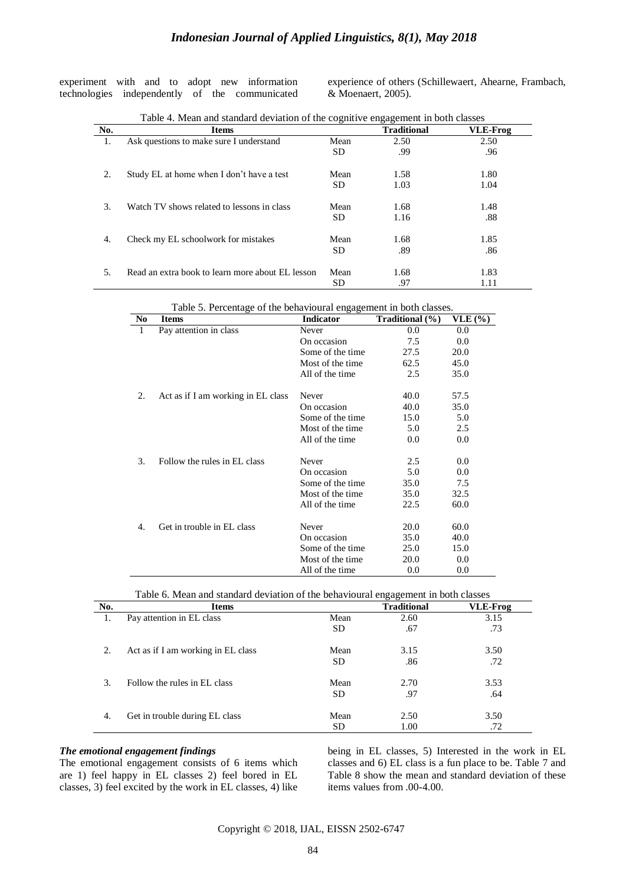experiment with and to adopt new information technologies independently of the communicated experience of others (Schillewaert, Ahearne, Frambach, & Moenaert, 2005).

|     | Table 4. Mean and standard deviation of the cognitive engagement in both classes |      |                    |                 |
|-----|----------------------------------------------------------------------------------|------|--------------------|-----------------|
| No. | <b>Items</b>                                                                     |      | <b>Traditional</b> | <b>VLE-Frog</b> |
|     | Ask questions to make sure I understand                                          | Mean | 2.50               | 2.50            |
|     |                                                                                  | SD   | .99                | .96             |
| 2.  | Study EL at home when I don't have a test                                        | Mean | 1.58               | 1.80            |
|     |                                                                                  | SD.  | 1.03               | 1.04            |
| 3.  | Watch TV shows related to lessons in class                                       | Mean | 1.68               | 1.48            |
|     |                                                                                  | SD.  | 1.16               | .88             |
| 4.  | Check my EL schoolwork for mistakes                                              | Mean | 1.68               | 1.85            |
|     |                                                                                  | SD   | .89                | .86             |
| .5  | Read an extra book to learn more about EL lesson                                 | Mean | 1.68               | 1.83            |
|     |                                                                                  | SD   | .97                | 1.11            |

|                | Table 5. Fercentage of the behavioural engagement in both classes. |                   |                 |                |
|----------------|--------------------------------------------------------------------|-------------------|-----------------|----------------|
| N <sub>0</sub> | <b>Items</b>                                                       | Indicator         | Traditional (%) | <b>VLE</b> (%) |
| 1              | Pay attention in class                                             | Never             | 0.0             | 0.0            |
|                |                                                                    | On occasion       | 7.5             | 0.0            |
|                |                                                                    | Some of the time  | 27.5            | 20.0           |
|                |                                                                    | Most of the time. | 62.5            | 45.0           |
|                |                                                                    | All of the time   | 2.5             | 35.0           |
| 2.             | Act as if I am working in EL class                                 | Never             | 40.0            | 57.5           |
|                |                                                                    | On occasion       | 40.0            | 35.0           |
|                |                                                                    | Some of the time  | 15.0            | 5.0            |
|                |                                                                    | Most of the time  | 5.0             | 2.5            |
|                |                                                                    | All of the time   | 0.0             | 0.0            |
| 3.             | Follow the rules in EL class                                       | Never             | 2.5             | 0.0            |
|                |                                                                    | On occasion       | 5.0             | 0.0            |
|                |                                                                    | Some of the time  | 35.0            | 7.5            |
|                |                                                                    | Most of the time. | 35.0            | 32.5           |
|                |                                                                    | All of the time   | 22.5            | 60.0           |
| 4.             | Get in trouble in EL class                                         | Never             | 20.0            | 60.0           |
|                |                                                                    | On occasion       | 35.0            | 40.0           |
|                |                                                                    | Some of the time  | 25.0            | 15.0           |
|                |                                                                    | Most of the time. | 20.0            | 0.0            |
|                |                                                                    | All of the time   | 0.0             | 0.0            |

Table 5. Percentage of the behavioural engagement in both classes.

|  |  |  | Table 6. Mean and standard deviation of the behavioural engagement in both classes |  |
|--|--|--|------------------------------------------------------------------------------------|--|
|  |  |  |                                                                                    |  |

| No. | <b>Items</b>                       |      | <b>Traditional</b> | <b>VLE-Frog</b> |
|-----|------------------------------------|------|--------------------|-----------------|
| 1.  | Pay attention in EL class          | Mean | 2.60               | 3.15            |
|     |                                    | SD   | .67                | .73             |
| 2.  | Act as if I am working in EL class | Mean | 3.15               | 3.50            |
|     |                                    | SD   | .86                | .72             |
| 3.  | Follow the rules in EL class       | Mean | 2.70               | 3.53            |
|     |                                    | SD   | .97                | .64             |
| 4.  | Get in trouble during EL class     | Mean | 2.50               | 3.50            |
|     |                                    | SD   | 1.00               | .72             |

### *The emotional engagement findings*

The emotional engagement consists of 6 items which are 1) feel happy in EL classes 2) feel bored in EL classes, 3) feel excited by the work in EL classes, 4) like being in EL classes, 5) Interested in the work in EL classes and 6) EL class is a fun place to be. Table 7 and Table 8 show the mean and standard deviation of these items values from .00-4.00.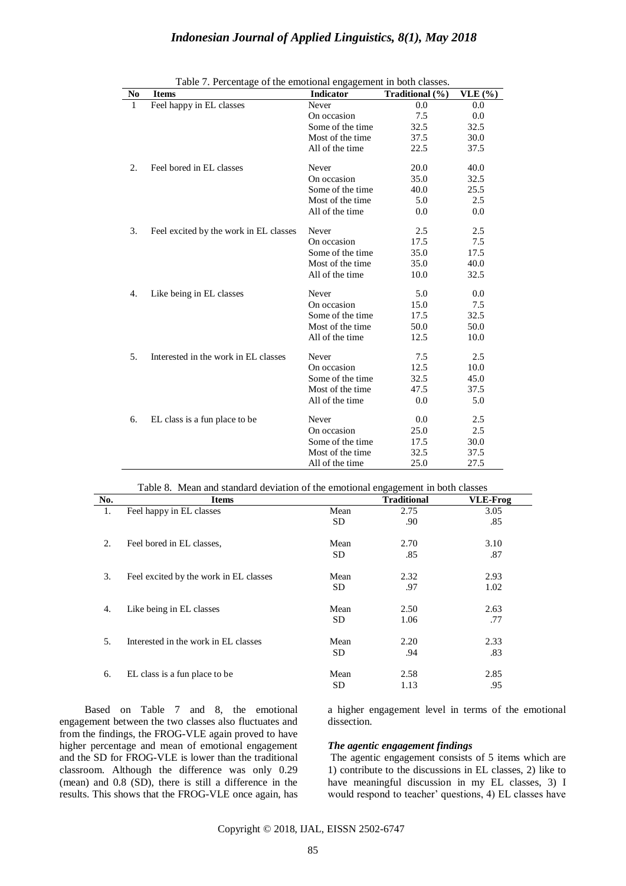| <b>Indonesian Journal of Applied Linguistics, 8(1), May 2018</b> |  |  |  |  |
|------------------------------------------------------------------|--|--|--|--|
|------------------------------------------------------------------|--|--|--|--|

| N <sub>0</sub> | <b>Items</b>                           | <b>Indicator</b> | Traditional (%) | VLE( %) |
|----------------|----------------------------------------|------------------|-----------------|---------|
| 1              | Feel happy in EL classes               | Never            | 0.0             | 0.0     |
|                |                                        | On occasion      | 7.5             | 0.0     |
|                |                                        | Some of the time | 32.5            | 32.5    |
|                |                                        | Most of the time | 37.5            | 30.0    |
|                |                                        | All of the time  | 22.5            | 37.5    |
| 2.             | Feel bored in EL classes               | Never            | 20.0            | 40.0    |
|                |                                        | On occasion      | 35.0            | 32.5    |
|                |                                        | Some of the time | 40.0            | 25.5    |
|                |                                        | Most of the time | 5.0             | 2.5     |
|                |                                        | All of the time  | 0.0             | 0.0     |
| 3.             | Feel excited by the work in EL classes | Never            | 2.5             | 2.5     |
|                |                                        | On occasion      | 17.5            | 7.5     |
|                |                                        | Some of the time | 35.0            | 17.5    |
|                |                                        | Most of the time | 35.0            | 40.0    |
|                |                                        | All of the time  | 10.0            | 32.5    |
| 4.             | Like being in EL classes               | Never            | 5.0             | 0.0     |
|                |                                        | On occasion      | 15.0            | 7.5     |
|                |                                        | Some of the time | 17.5            | 32.5    |
|                |                                        | Most of the time | 50.0            | 50.0    |
|                |                                        | All of the time  | 12.5            | 10.0    |
| 5.             | Interested in the work in EL classes   | Never            | 7.5             | 2.5     |
|                |                                        | On occasion      | 12.5            | 10.0    |
|                |                                        | Some of the time | 32.5            | 45.0    |
|                |                                        | Most of the time | 47.5            | 37.5    |
|                |                                        | All of the time  | 0.0             | 5.0     |
| 6.             | EL class is a fun place to be          | Never            | 0.0             | 2.5     |
|                |                                        | On occasion      | 25.0            | 2.5     |
|                |                                        | Some of the time | 17.5            | 30.0    |
|                |                                        | Most of the time | 32.5            | 37.5    |
|                |                                        | All of the time  | 25.0            | 27.5    |

|  | Table 7. Percentage of the emotional engagement in both classes. |  |
|--|------------------------------------------------------------------|--|
|  |                                                                  |  |

Table 8. Mean and standard deviation of the emotional engagement in both classes

| No. | <b>Items</b>                           |      | <b>Traditional</b> | <b>VLE-Frog</b> |
|-----|----------------------------------------|------|--------------------|-----------------|
| 1.  | Feel happy in EL classes               | Mean | 2.75               | 3.05            |
|     |                                        | SD.  | .90                | .85             |
| 2.  | Feel bored in EL classes.              | Mean | 2.70               | 3.10            |
|     |                                        | SD.  | .85                | .87             |
| 3.  | Feel excited by the work in EL classes | Mean | 2.32               | 2.93            |
|     |                                        | SD.  | .97                | 1.02            |
| 4.  | Like being in EL classes               | Mean | 2.50               | 2.63            |
|     |                                        | SD.  | 1.06               | .77             |
| 5.  | Interested in the work in EL classes   | Mean | 2.20               | 2.33            |
|     |                                        | SD.  | .94                | .83             |
| 6.  | EL class is a fun place to be          | Mean | 2.58               | 2.85            |
|     |                                        | SD   | 1.13               | .95             |

Based on Table 7 and 8, the emotional engagement between the two classes also fluctuates and from the findings, the FROG-VLE again proved to have higher percentage and mean of emotional engagement and the SD for FROG-VLE is lower than the traditional classroom. Although the difference was only 0.29 (mean) and 0.8 (SD), there is still a difference in the results. This shows that the FROG-VLE once again, has

a higher engagement level in terms of the emotional dissection.

### *The agentic engagement findings*

The agentic engagement consists of 5 items which are 1) contribute to the discussions in EL classes, 2) like to have meaningful discussion in my EL classes, 3) I would respond to teacher' questions, 4) EL classes have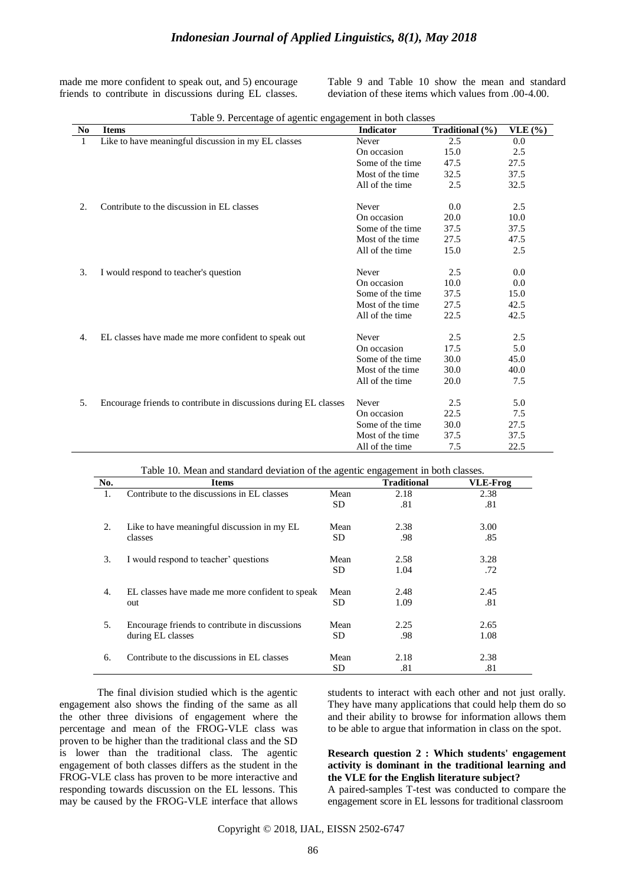# *Indonesian Journal of Applied Linguistics, 8(1), May 2018*

made me more confident to speak out, and 5) encourage friends to contribute in discussions during EL classes.

Table 9 and Table 10 show the mean and standard deviation of these items which values from .00-4.00.

| Like to have meaningful discussion in my EL classes<br>2.5<br>1<br>Never<br>0.0<br>15.0<br>2.5<br>On occasion<br>Some of the time<br>47.5<br>27.5<br>32.5<br>37.5<br>Most of the time.<br>32.5<br>All of the time<br>2.5<br>2.<br>Contribute to the discussion in EL classes<br>Never<br>0.0<br>2.5<br>20.0<br>10.0<br>On occasion<br>37.5<br>37.5<br>Some of the time<br>Most of the time<br>27.5<br>47.5<br>15.0<br>2.5<br>All of the time<br>3.<br>I would respond to teacher's question<br>Never<br>2.5<br>0.0<br>10.0<br>0.0<br>On occasion<br>Some of the time<br>37.5<br>15.0<br>42.5<br>Most of the time<br>27.5<br>22.5<br>42.5<br>All of the time<br>EL classes have made me more confident to speak out<br>2.5<br>2.5<br>Never<br>4.<br>17.5<br>5.0<br>On occasion<br>Some of the time<br>30.0<br>45.0<br>30.0<br>Most of the time<br>40.0<br>7.5<br>All of the time<br>20.0<br>Encourage friends to contribute in discussions during EL classes<br>Never<br>2.5<br>5.0<br>5.<br>22.5<br>7.5<br>On occasion<br>Some of the time<br>27.5<br>30.0<br>Most of the time<br>37.5<br>37.5<br>All of the time<br>7.5<br>22.5 | N <sub>0</sub> | <b>Items</b> | <b>Indicator</b> | Traditional (%) | VLE $(% )$ |
|----------------------------------------------------------------------------------------------------------------------------------------------------------------------------------------------------------------------------------------------------------------------------------------------------------------------------------------------------------------------------------------------------------------------------------------------------------------------------------------------------------------------------------------------------------------------------------------------------------------------------------------------------------------------------------------------------------------------------------------------------------------------------------------------------------------------------------------------------------------------------------------------------------------------------------------------------------------------------------------------------------------------------------------------------------------------------------------------------------------------------------|----------------|--------------|------------------|-----------------|------------|
|                                                                                                                                                                                                                                                                                                                                                                                                                                                                                                                                                                                                                                                                                                                                                                                                                                                                                                                                                                                                                                                                                                                                  |                |              |                  |                 |            |
|                                                                                                                                                                                                                                                                                                                                                                                                                                                                                                                                                                                                                                                                                                                                                                                                                                                                                                                                                                                                                                                                                                                                  |                |              |                  |                 |            |
|                                                                                                                                                                                                                                                                                                                                                                                                                                                                                                                                                                                                                                                                                                                                                                                                                                                                                                                                                                                                                                                                                                                                  |                |              |                  |                 |            |
|                                                                                                                                                                                                                                                                                                                                                                                                                                                                                                                                                                                                                                                                                                                                                                                                                                                                                                                                                                                                                                                                                                                                  |                |              |                  |                 |            |
|                                                                                                                                                                                                                                                                                                                                                                                                                                                                                                                                                                                                                                                                                                                                                                                                                                                                                                                                                                                                                                                                                                                                  |                |              |                  |                 |            |
|                                                                                                                                                                                                                                                                                                                                                                                                                                                                                                                                                                                                                                                                                                                                                                                                                                                                                                                                                                                                                                                                                                                                  |                |              |                  |                 |            |
|                                                                                                                                                                                                                                                                                                                                                                                                                                                                                                                                                                                                                                                                                                                                                                                                                                                                                                                                                                                                                                                                                                                                  |                |              |                  |                 |            |
|                                                                                                                                                                                                                                                                                                                                                                                                                                                                                                                                                                                                                                                                                                                                                                                                                                                                                                                                                                                                                                                                                                                                  |                |              |                  |                 |            |
|                                                                                                                                                                                                                                                                                                                                                                                                                                                                                                                                                                                                                                                                                                                                                                                                                                                                                                                                                                                                                                                                                                                                  |                |              |                  |                 |            |
|                                                                                                                                                                                                                                                                                                                                                                                                                                                                                                                                                                                                                                                                                                                                                                                                                                                                                                                                                                                                                                                                                                                                  |                |              |                  |                 |            |
|                                                                                                                                                                                                                                                                                                                                                                                                                                                                                                                                                                                                                                                                                                                                                                                                                                                                                                                                                                                                                                                                                                                                  |                |              |                  |                 |            |
|                                                                                                                                                                                                                                                                                                                                                                                                                                                                                                                                                                                                                                                                                                                                                                                                                                                                                                                                                                                                                                                                                                                                  |                |              |                  |                 |            |
|                                                                                                                                                                                                                                                                                                                                                                                                                                                                                                                                                                                                                                                                                                                                                                                                                                                                                                                                                                                                                                                                                                                                  |                |              |                  |                 |            |
|                                                                                                                                                                                                                                                                                                                                                                                                                                                                                                                                                                                                                                                                                                                                                                                                                                                                                                                                                                                                                                                                                                                                  |                |              |                  |                 |            |
|                                                                                                                                                                                                                                                                                                                                                                                                                                                                                                                                                                                                                                                                                                                                                                                                                                                                                                                                                                                                                                                                                                                                  |                |              |                  |                 |            |
|                                                                                                                                                                                                                                                                                                                                                                                                                                                                                                                                                                                                                                                                                                                                                                                                                                                                                                                                                                                                                                                                                                                                  |                |              |                  |                 |            |
|                                                                                                                                                                                                                                                                                                                                                                                                                                                                                                                                                                                                                                                                                                                                                                                                                                                                                                                                                                                                                                                                                                                                  |                |              |                  |                 |            |
|                                                                                                                                                                                                                                                                                                                                                                                                                                                                                                                                                                                                                                                                                                                                                                                                                                                                                                                                                                                                                                                                                                                                  |                |              |                  |                 |            |
|                                                                                                                                                                                                                                                                                                                                                                                                                                                                                                                                                                                                                                                                                                                                                                                                                                                                                                                                                                                                                                                                                                                                  |                |              |                  |                 |            |
|                                                                                                                                                                                                                                                                                                                                                                                                                                                                                                                                                                                                                                                                                                                                                                                                                                                                                                                                                                                                                                                                                                                                  |                |              |                  |                 |            |
|                                                                                                                                                                                                                                                                                                                                                                                                                                                                                                                                                                                                                                                                                                                                                                                                                                                                                                                                                                                                                                                                                                                                  |                |              |                  |                 |            |
|                                                                                                                                                                                                                                                                                                                                                                                                                                                                                                                                                                                                                                                                                                                                                                                                                                                                                                                                                                                                                                                                                                                                  |                |              |                  |                 |            |
|                                                                                                                                                                                                                                                                                                                                                                                                                                                                                                                                                                                                                                                                                                                                                                                                                                                                                                                                                                                                                                                                                                                                  |                |              |                  |                 |            |
|                                                                                                                                                                                                                                                                                                                                                                                                                                                                                                                                                                                                                                                                                                                                                                                                                                                                                                                                                                                                                                                                                                                                  |                |              |                  |                 |            |
|                                                                                                                                                                                                                                                                                                                                                                                                                                                                                                                                                                                                                                                                                                                                                                                                                                                                                                                                                                                                                                                                                                                                  |                |              |                  |                 |            |

|  |  | Table 9. Percentage of agentic engagement in both classes |
|--|--|-----------------------------------------------------------|
|  |  |                                                           |

| Table 10. Mean and standard deviation of the agentic engagement in both classes. |  |
|----------------------------------------------------------------------------------|--|
|                                                                                  |  |

| No. | <b>Items</b>                                    |      | <b>Traditional</b> | <b>VLE-Frog</b> |
|-----|-------------------------------------------------|------|--------------------|-----------------|
| 1.  | Contribute to the discussions in EL classes     | Mean | 2.18               | 2.38            |
|     |                                                 | SD.  | .81                | .81             |
| 2.  | Like to have meaningful discussion in my EL     | Mean | 2.38               | 3.00            |
|     | classes                                         | SD.  | .98                | .85             |
| 3.  | I would respond to teacher' questions           | Mean | 2.58               | 3.28            |
|     |                                                 | SD.  | 1.04               | .72             |
| 4.  | EL classes have made me more confident to speak | Mean | 2.48               | 2.45            |
|     | out                                             | SD.  | 1.09               | .81             |
| 5.  | Encourage friends to contribute in discussions  | Mean | 2.25               | 2.65            |
|     | during EL classes                               | SD   | .98                | 1.08            |
| 6.  | Contribute to the discussions in EL classes     | Mean | 2.18               | 2.38            |
|     |                                                 | SD   | .81                | .81             |

The final division studied which is the agentic engagement also shows the finding of the same as all the other three divisions of engagement where the percentage and mean of the FROG-VLE class was proven to be higher than the traditional class and the SD is lower than the traditional class. The agentic engagement of both classes differs as the student in the FROG-VLE class has proven to be more interactive and responding towards discussion on the EL lessons. This may be caused by the FROG-VLE interface that allows

students to interact with each other and not just orally. They have many applications that could help them do so and their ability to browse for information allows them to be able to argue that information in class on the spot.

### **Research question 2 : Which students' engagement activity is dominant in the traditional learning and the VLE for the English literature subject?**

A paired-samples T-test was conducted to compare the engagement score in EL lessons for traditional classroom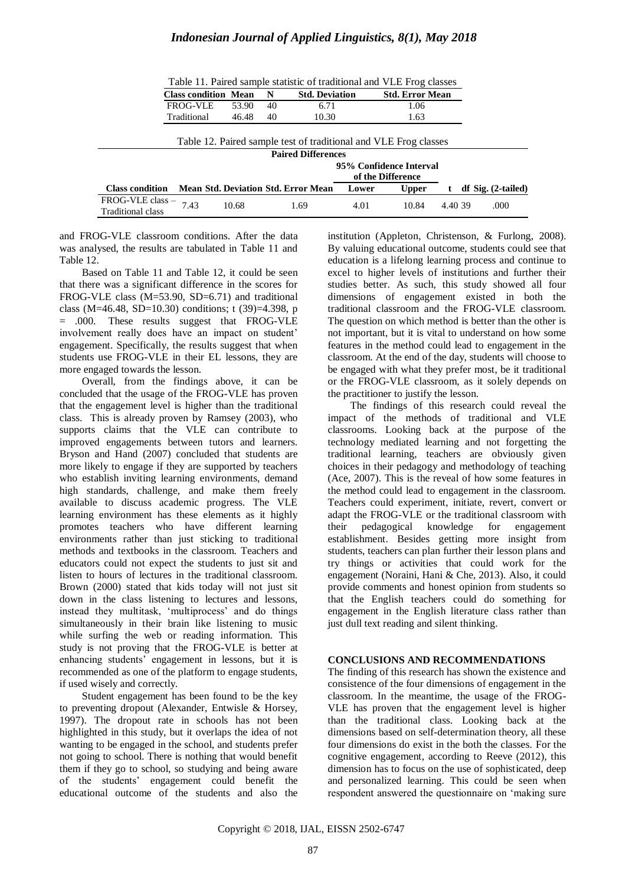| Table 11. Paired sample statistic of traditional and VLE Frog classes |                                            |       |    |                       |       |                                                                  |         |  |                        |
|-----------------------------------------------------------------------|--------------------------------------------|-------|----|-----------------------|-------|------------------------------------------------------------------|---------|--|------------------------|
|                                                                       | <b>Class condition Mean</b>                |       | N  | <b>Std. Deviation</b> |       | <b>Std. Error Mean</b>                                           |         |  |                        |
|                                                                       | <b>FROG-VLE</b>                            | 53.90 | 40 | 6.71                  |       | 1.06                                                             |         |  |                        |
|                                                                       | Traditional                                | 46.48 | 40 | 10.30                 |       | 1.63                                                             |         |  |                        |
|                                                                       |                                            |       |    |                       |       |                                                                  |         |  |                        |
|                                                                       |                                            |       |    |                       |       | Table 12. Paired sample test of traditional and VLE Frog classes |         |  |                        |
| <b>Paired Differences</b>                                             |                                            |       |    |                       |       |                                                                  |         |  |                        |
| 95% Confidence Interval                                               |                                            |       |    |                       |       |                                                                  |         |  |                        |
|                                                                       |                                            |       |    |                       |       | of the Difference                                                |         |  |                        |
| <b>Class condition</b>                                                | <b>Mean Std. Deviation Std. Error Mean</b> |       |    |                       | Lower | <b>Upper</b>                                                     |         |  | $df$ Sig. $(2-tailed)$ |
| FROG-VLE class -                                                      | 7.43                                       | 10.68 |    | 1.69                  | 4.01  | 10.84                                                            | 4.40.39 |  | .000                   |
| <b>Traditional class</b>                                              |                                            |       |    |                       |       |                                                                  |         |  |                        |

and FROG-VLE classroom conditions. After the data was analysed, the results are tabulated in Table 11 and Table 12.

Based on Table 11 and Table 12, it could be seen that there was a significant difference in the scores for FROG-VLE class (M=53.90, SD=6.71) and traditional class (M=46.48, SD=10.30) conditions; t (39)=4.398, p = .000. These results suggest that FROG-VLE involvement really does have an impact on student" engagement. Specifically, the results suggest that when students use FROG-VLE in their EL lessons, they are more engaged towards the lesson.

Overall, from the findings above, it can be concluded that the usage of the FROG-VLE has proven that the engagement level is higher than the traditional class. This is already proven by Ramsey (2003), who supports claims that the VLE can contribute to improved engagements between tutors and learners. Bryson and Hand (2007) concluded that students are more likely to engage if they are supported by teachers who establish inviting learning environments, demand high standards, challenge, and make them freely available to discuss academic progress. The VLE learning environment has these elements as it highly promotes teachers who have different learning environments rather than just sticking to traditional methods and textbooks in the classroom. Teachers and educators could not expect the students to just sit and listen to hours of lectures in the traditional classroom. Brown (2000) stated that kids today will not just sit down in the class listening to lectures and lessons, instead they multitask, 'multiprocess' and do things simultaneously in their brain like listening to music while surfing the web or reading information. This study is not proving that the FROG-VLE is better at enhancing students" engagement in lessons, but it is recommended as one of the platform to engage students, if used wisely and correctly.

Student engagement has been found to be the key to preventing dropout (Alexander, Entwisle & Horsey, 1997). The dropout rate in schools has not been highlighted in this study, but it overlaps the idea of not wanting to be engaged in the school, and students prefer not going to school. There is nothing that would benefit them if they go to school, so studying and being aware of the students" engagement could benefit the educational outcome of the students and also the institution (Appleton, Christenson, & Furlong, 2008). By valuing educational outcome, students could see that education is a lifelong learning process and continue to excel to higher levels of institutions and further their studies better. As such, this study showed all four dimensions of engagement existed in both the traditional classroom and the FROG-VLE classroom. The question on which method is better than the other is not important, but it is vital to understand on how some features in the method could lead to engagement in the classroom. At the end of the day, students will choose to be engaged with what they prefer most, be it traditional or the FROG-VLE classroom, as it solely depends on the practitioner to justify the lesson.

The findings of this research could reveal the impact of the methods of traditional and VLE classrooms. Looking back at the purpose of the technology mediated learning and not forgetting the traditional learning, teachers are obviously given choices in their pedagogy and methodology of teaching (Ace, 2007). This is the reveal of how some features in the method could lead to engagement in the classroom. Teachers could experiment, initiate, revert, convert or adapt the FROG-VLE or the traditional classroom with<br>their pedagogical knowledge for engagement their pedagogical knowledge for engagement establishment. Besides getting more insight from students, teachers can plan further their lesson plans and try things or activities that could work for the engagement (Noraini, Hani & Che, 2013). Also, it could provide comments and honest opinion from students so that the English teachers could do something for engagement in the English literature class rather than just dull text reading and silent thinking.

# **CONCLUSIONS AND RECOMMENDATIONS**

The finding of this research has shown the existence and consistence of the four dimensions of engagement in the classroom. In the meantime, the usage of the FROG-VLE has proven that the engagement level is higher than the traditional class. Looking back at the dimensions based on self-determination theory, all these four dimensions do exist in the both the classes. For the cognitive engagement, according to Reeve (2012), this dimension has to focus on the use of sophisticated, deep and personalized learning. This could be seen when respondent answered the questionnaire on "making sure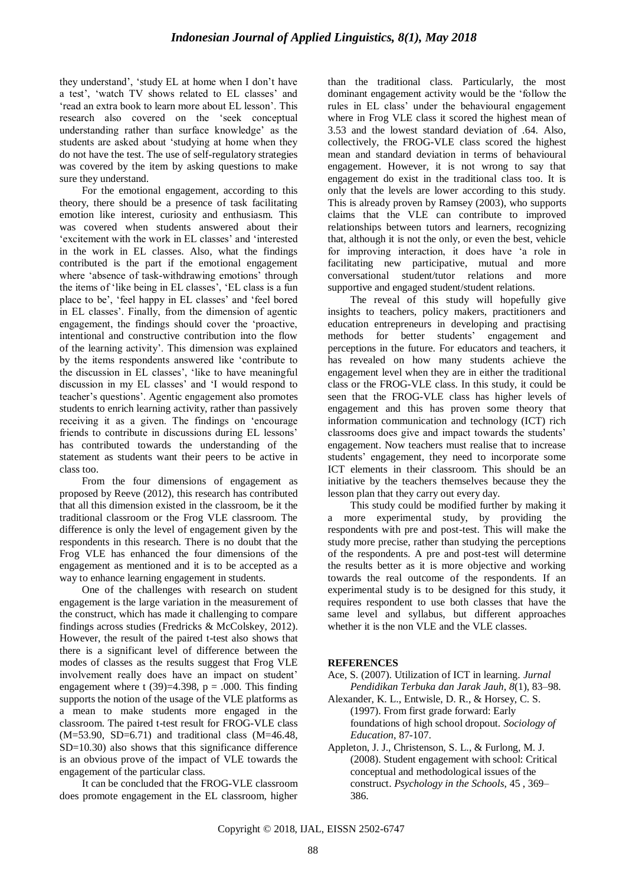they understand', 'study EL at home when I don't have a test', 'watch TV shows related to EL classes' and "read an extra book to learn more about EL lesson". This research also covered on the "seek conceptual understanding rather than surface knowledge" as the students are asked about "studying at home when they do not have the test. The use of self-regulatory strategies was covered by the item by asking questions to make sure they understand.

For the emotional engagement, according to this theory, there should be a presence of task facilitating emotion like interest, curiosity and enthusiasm. This was covered when students answered about their "excitement with the work in EL classes" and "interested in the work in EL classes. Also, what the findings contributed is the part if the emotional engagement where 'absence of task-withdrawing emotions' through the items of 'like being in EL classes', 'EL class is a fun place to be', 'feel happy in EL classes' and 'feel bored in EL classes'. Finally, from the dimension of agentic engagement, the findings should cover the "proactive, intentional and constructive contribution into the flow of the learning activity". This dimension was explained by the items respondents answered like "contribute to the discussion in EL classes', 'like to have meaningful discussion in my EL classes' and 'I would respond to teacher"s questions". Agentic engagement also promotes students to enrich learning activity, rather than passively receiving it as a given. The findings on "encourage friends to contribute in discussions during EL lessons" has contributed towards the understanding of the statement as students want their peers to be active in class too.

From the four dimensions of engagement as proposed by Reeve (2012), this research has contributed that all this dimension existed in the classroom, be it the traditional classroom or the Frog VLE classroom. The difference is only the level of engagement given by the respondents in this research. There is no doubt that the Frog VLE has enhanced the four dimensions of the engagement as mentioned and it is to be accepted as a way to enhance learning engagement in students.

One of the challenges with research on student engagement is the large variation in the measurement of the construct, which has made it challenging to compare findings across studies (Fredricks & McColskey, 2012). However, the result of the paired t-test also shows that there is a significant level of difference between the modes of classes as the results suggest that Frog VLE involvement really does have an impact on student" engagement where t (39)=4.398,  $p = .000$ . This finding supports the notion of the usage of the VLE platforms as a mean to make students more engaged in the classroom. The paired t-test result for FROG-VLE class  $(M=53.90, SD=6.71)$  and traditional class  $(M=46.48,$ SD=10.30) also shows that this significance difference is an obvious prove of the impact of VLE towards the engagement of the particular class.

It can be concluded that the FROG-VLE classroom does promote engagement in the EL classroom, higher than the traditional class. Particularly, the most dominant engagement activity would be the "follow the rules in EL class" under the behavioural engagement where in Frog VLE class it scored the highest mean of 3.53 and the lowest standard deviation of .64. Also, collectively, the FROG-VLE class scored the highest mean and standard deviation in terms of behavioural engagement. However, it is not wrong to say that engagement do exist in the traditional class too. It is only that the levels are lower according to this study. This is already proven by Ramsey (2003), who supports claims that the VLE can contribute to improved relationships between tutors and learners, recognizing that, although it is not the only, or even the best, vehicle for improving interaction, it does have "a role in facilitating new participative, mutual and more conversational student/tutor relations and more supportive and engaged student/student relations.

The reveal of this study will hopefully give insights to teachers, policy makers, practitioners and education entrepreneurs in developing and practising methods for better students" engagement and perceptions in the future. For educators and teachers, it has revealed on how many students achieve the engagement level when they are in either the traditional class or the FROG-VLE class. In this study, it could be seen that the FROG-VLE class has higher levels of engagement and this has proven some theory that information communication and technology (ICT) rich classrooms does give and impact towards the students" engagement. Now teachers must realise that to increase students" engagement, they need to incorporate some ICT elements in their classroom. This should be an initiative by the teachers themselves because they the lesson plan that they carry out every day.

This study could be modified further by making it a more experimental study, by providing the respondents with pre and post-test. This will make the study more precise, rather than studying the perceptions of the respondents. A pre and post-test will determine the results better as it is more objective and working towards the real outcome of the respondents. If an experimental study is to be designed for this study, it requires respondent to use both classes that have the same level and syllabus, but different approaches whether it is the non VLE and the VLE classes.

#### **REFERENCES**

- Ace, S. (2007). Utilization of ICT in learning. *Jurnal Pendidikan Terbuka dan Jarak Jauh*, *8*(1), 83–98.
- Alexander, K. L., Entwisle, D. R., & Horsey, C. S. (1997). From first grade forward: Early foundations of high school dropout. *Sociology of Education*, 87-107.
- Appleton, J. J., Christenson, S. L., & Furlong, M. J. (2008). Student engagement with school: Critical conceptual and methodological issues of the construct. *Psychology in the Schools*, 45 , 369– 386.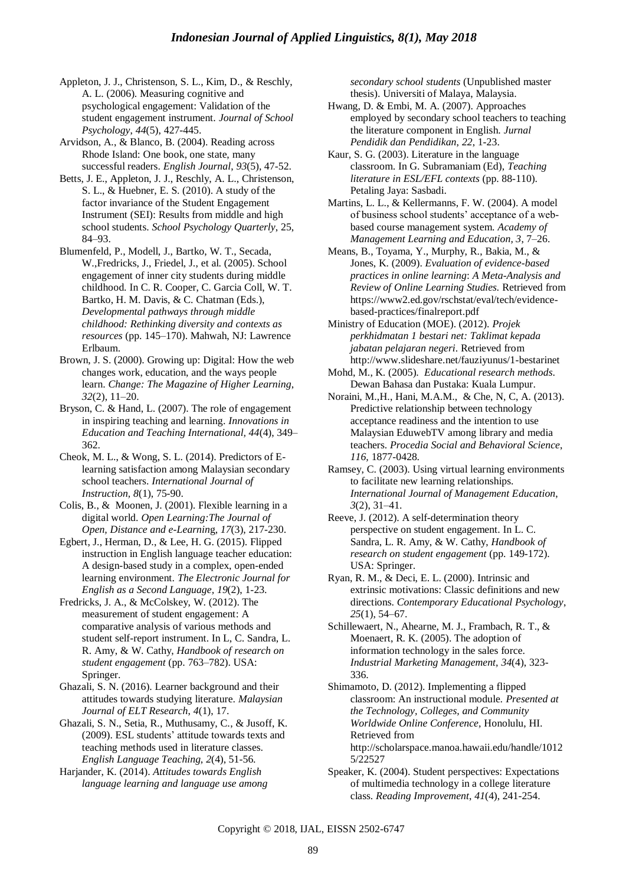Appleton, J. J., Christenson, S. L., Kim, D., & Reschly, A. L. (2006). Measuring cognitive and psychological engagement: Validation of the student engagement instrument. *Journal of School Psychology*, *44*(5), 427-445.

Arvidson, A., & Blanco, B. (2004). Reading across Rhode Island: One book, one state, many successful readers. *English Journal*, *93*(5), 47-52.

Betts, J. E., Appleton, J. J., Reschly, A. L., Christenson, S. L., & Huebner, E. S. (2010). A study of the factor invariance of the Student Engagement Instrument (SEI): Results from middle and high school students. *School Psychology Quarterly*, 25, 84–93.

Blumenfeld, P., Modell, J., Bartko, W. T., Secada, W.,Fredricks, J., Friedel, J., et al. (2005). School engagement of inner city students during middle childhood. In C. R. Cooper, C. Garcia Coll, W. T. Bartko, H. M. Davis, & C. Chatman (Eds.), *Developmental pathways through middle childhood: Rethinking diversity and contexts as resources* (pp. 145–170). Mahwah, NJ: Lawrence Erlbaum.

Brown, J. S. (2000). Growing up: Digital: How the web changes work, education, and the ways people learn. *Change: The Magazine of Higher Learning*, *32*(2), 11–20.

Bryson, C. & Hand, L. (2007). The role of engagement in inspiring teaching and learning. *Innovations in Education and Teaching International, 44*(4), 349– 362.

Cheok, M. L., & Wong, S. L. (2014). Predictors of Elearning satisfaction among Malaysian secondary school teachers. *International Journal of Instruction, 8*(1), 75-90.

Colis, B., & Moonen, J. (2001). Flexible learning in a digital world. *Open Learning:The Journal of Open, Distance and e-Learnin*g, *17*(3), 217-230.

Egbert, J., Herman, D., & Lee, H. G. (2015). Flipped instruction in English language teacher education: A design-based study in a complex, open-ended learning environment. *The Electronic Journal for English as a Second Language, 19*(2), 1-23.

Fredricks, J. A., & McColskey, W. (2012). The measurement of student engagement: A comparative analysis of various methods and student self-report instrument. In L, C. Sandra, L. R. Amy, & W. Cathy, *Handbook of research on student engagement* (pp. 763–782). USA: Springer.

Ghazali, S. N. (2016). Learner background and their attitudes towards studying literature. *Malaysian Journal of ELT Research*, *4*(1), 17.

Ghazali, S. N., Setia, R., Muthusamy, C., & Jusoff, K. (2009). ESL students" attitude towards texts and teaching methods used in literature classes. *English Language Teaching, 2*(4), 51-56.

Harjander, K. (2014). *Attitudes towards English language learning and language use among*  *secondary school students* (Unpublished master thesis). Universiti of Malaya, Malaysia.

Hwang, D. & Embi, M. A. (2007). Approaches employed by secondary school teachers to teaching the literature component in English. *Jurnal Pendidik dan Pendidikan*, *22*, 1-23.

Kaur, S. G. (2003). Literature in the language classroom. In G. Subramaniam (Ed), *Teaching literature in ESL/EFL contexts* (pp. 88-110). Petaling Jaya: Sasbadi.

Martins, L. L., & Kellermanns, F. W. (2004). A model of business school students" acceptance of a webbased course management system. *Academy of Management Learning and Education, 3*, 7–26.

Means, B., Toyama, Y., Murphy, R., Bakia, M., & Jones, K. (2009). *Evaluation of evidence-based practices in online learning*: *A Meta-Analysis and Review of Online Learning Studies.* Retrieved from [https://www2.ed.gov/rschstat/eval/tech/evidence](https://www2.ed.gov/rschstat/eval/tech/evidence-based-practices/finalreport.pdf)[based-practices/finalreport.pdf](https://www2.ed.gov/rschstat/eval/tech/evidence-based-practices/finalreport.pdf)

Ministry of Education (MOE). (2012). *Projek perkhidmatan 1 bestari net: Taklimat kepada jabatan pelajaran negeri*. Retrieved from <http://www.slideshare.net/fauziyunus/1-bestarinet>

Mohd, M., K. (2005). *Educational research methods*. Dewan Bahasa dan Pustaka: Kuala Lumpur.

Noraini, M.,H., Hani, M.A.M., & Che, N, C, A. (2013). Predictive relationship between technology acceptance readiness and the intention to use Malaysian EduwebTV among library and media teachers. *Procedia Social and Behavioral Science*, *116,* 1877-0428.

Ramsey, C. (2003). Using virtual learning environments to facilitate new learning relationships. *International Journal of Management Education*, *3*(2), 31–41.

Reeve, J. (2012). A self-determination theory perspective on student engagement. In L. C. Sandra, L. R. Amy, & W. Cathy, *Handbook of research on student engagement* (pp. 149-172). USA: Springer.

Ryan, R. M., & Deci, E. L. (2000). Intrinsic and extrinsic motivations: Classic definitions and new directions. *Contemporary Educational Psychology*, *25*(1), 54–67.

Schillewaert, N., Ahearne, M. J., Frambach, R. T., & Moenaert, R. K. (2005). The adoption of information technology in the sales force. *Industrial Marketing Management, 34*(4), 323- 336.

Shimamoto, D. (2012). Implementing a flipped classroom: An instructional module*. Presented at the Technology, Colleges, and Community Worldwide Online Conference,* Honolulu, HI*.* Retrieved from [http://scholarspace.manoa.hawaii.edu/handle/1012](http://scholarspace.manoa.hawaii.edu/handle/10125/22527)

[5/22527](http://scholarspace.manoa.hawaii.edu/handle/10125/22527) Speaker, K. (2004). Student perspectives: Expectations of multimedia technology in a college literature class. *Reading Improvement*, *41*(4), 241-254.